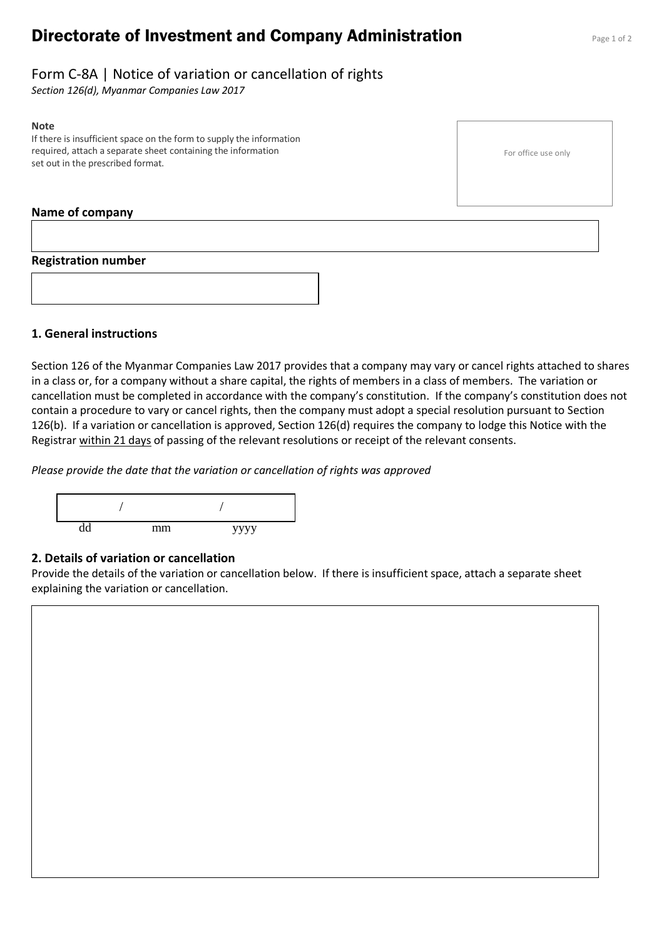# **Directorate of Investment and Company Administration** Page 1 of 2

For office use only

# Form C-8A | Notice of variation or cancellation of rights

*Section 126(d), Myanmar Companies Law 2017*

#### **Note**

If there is insufficient space on the form to supply the information required, attach a separate sheet containing the information set out in the prescribed format.

#### **Name of company**



## **1. General instructions**

Section 126 of the Myanmar Companies Law 2017 provides that a company may vary or cancel rights attached to shares in a class or, for a company without a share capital, the rights of members in a class of members. The variation or cancellation must be completed in accordance with the company's constitution. If the company's constitution does not contain a procedure to vary or cancel rights, then the company must adopt a special resolution pursuant to Section 126(b). If a variation or cancellation is approved, Section 126(d) requires the company to lodge this Notice with the Registrar within 21 days of passing of the relevant resolutions or receipt of the relevant consents.

*Please provide the date that the variation or cancellation of rights was approved*



#### **2. Details of variation or cancellation**

Provide the details of the variation or cancellation below. If there is insufficient space, attach a separate sheet explaining the variation or cancellation.